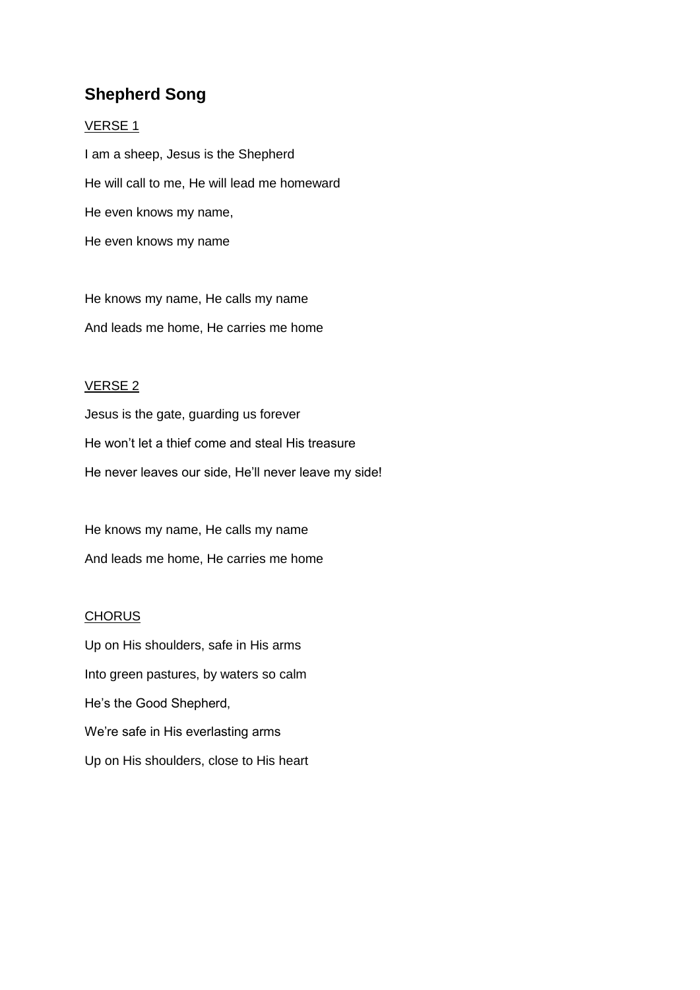# **Shepherd Song**

#### VERSE 1

I am a sheep, Jesus is the Shepherd He will call to me, He will lead me homeward He even knows my name, He even knows my name

He knows my name, He calls my name And leads me home, He carries me home

### VERSE 2

Jesus is the gate, guarding us forever He won't let a thief come and steal His treasure He never leaves our side, He'll never leave my side!

He knows my name, He calls my name And leads me home, He carries me home

### **CHORUS**

Up on His shoulders, safe in His arms Into green pastures, by waters so calm He's the Good Shepherd, We're safe in His everlasting arms Up on His shoulders, close to His heart